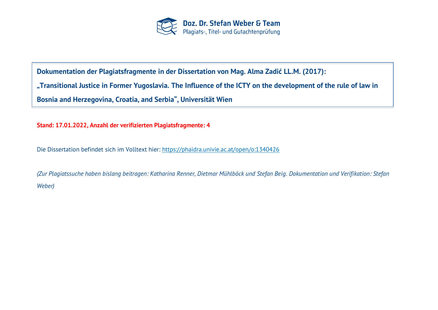

**Dokumentation der Plagiatsfragmente in der Dissertation von Mag. Alma Zadić LL.M. (2017): "Transitional Justice in Former Yugoslavia. The Influence of the ICTY on the development of the rule of law in Bosnia and Herzegovina, Croatia, and Serbia", Universität Wien**

**Stand: 17.01.2022, Anzahl der verifizierten Plagiatsfragmente: 4**

Die Dissertation befindet sich im Volltext hier:<https://phaidra.univie.ac.at/open/o:1340426>

*(Zur Plagiatssuche haben bislang beitragen: Katharina Renner, Dietmar Mühlböck und Stefan Beig. Dokumentation und Verifikation: Stefan Weber)*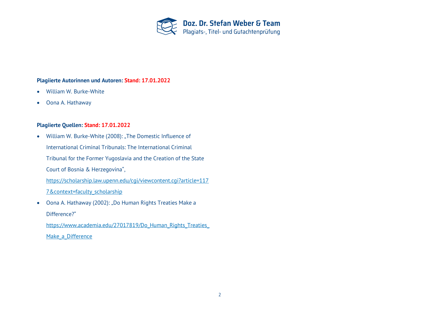

## **Plagiierte Autorinnen und Autoren: Stand: 17.01.2022**

- William W. Burke-White
- Oona A. Hathaway

## **Plagiierte Quellen: Stand: 17.01.2022**

- William W. Burke-White (2008): "The Domestic Influence of International Criminal Tribunals: The International Criminal Tribunal for the Former Yugoslavia and the Creation of the State Court of Bosnia & Herzegovina", [https://scholarship.law.upenn.edu/cgi/viewcontent.cgi?article=117](https://scholarship.law.upenn.edu/cgi/viewcontent.cgi?article=1177&context=faculty_scholarship) [7&context=faculty\\_scholarship](https://scholarship.law.upenn.edu/cgi/viewcontent.cgi?article=1177&context=faculty_scholarship)
- Oona A. Hathaway (2002): "Do Human Rights Treaties Make a Difference?"

[https://www.academia.edu/27017819/Do\\_Human\\_Rights\\_Treaties\\_](https://www.academia.edu/27017819/Do_Human_Rights_Treaties_Make_a_Difference) Make a Difference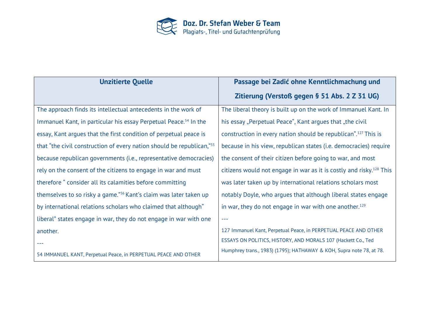

| <b>Unzitierte Quelle</b>                                                          | Passage bei Zadić ohne Kenntlichmachung und                                     |
|-----------------------------------------------------------------------------------|---------------------------------------------------------------------------------|
|                                                                                   | Zitierung (Verstoß gegen § 51 Abs. 2 Z 31 UG)                                   |
| The approach finds its intellectual antecedents in the work of                    | The liberal theory is built up on the work of Immanuel Kant. In                 |
| Immanuel Kant, in particular his essay Perpetual Peace. <sup>54</sup> In the      | his essay "Perpetual Peace", Kant argues that "the civil                        |
| essay, Kant argues that the first condition of perpetual peace is                 | construction in every nation should be republican". <sup>127</sup> This is      |
| that "the civil construction of every nation should be republican," <sup>55</sup> | because in his view, republican states (i.e. democracies) require               |
| because republican governments (i.e., representative democracies)                 | the consent of their citizen before going to war, and most                      |
| rely on the consent of the citizens to engage in war and must                     | citizens would not engage in war as it is costly and risky. <sup>128</sup> This |
| therefore "consider all its calamities before committing                          | was later taken up by international relations scholars most                     |
| themselves to so risky a game." <sup>56</sup> Kant's claim was later taken up     | notably Doyle, who argues that although liberal states engage                   |
| by international relations scholars who claimed that although"                    | in war, they do not engage in war with one another. <sup>129</sup>              |
| liberal" states engage in war, they do not engage in war with one                 | $- - -$                                                                         |
| another.                                                                          | 127 Immanuel Kant, Perpetual Peace, in PERPETUAL PEACE AND OTHER                |
|                                                                                   | ESSAYS ON POLITICS, HISTORY, AND MORALS 107 (Hackett Co., Ted                   |
| 54 IMMANUEL KANT, Perpetual Peace, in PERPETUAL PEACE AND OTHER                   | Humphrey trans., 1983) (1795); HATHAWAY & KOH, Supra note 78, at 78.            |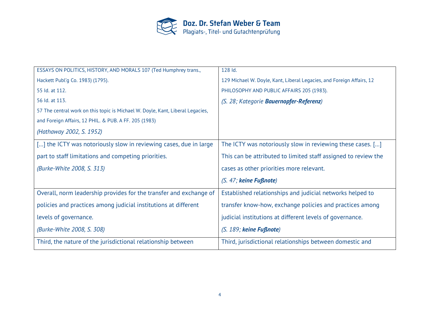

| ESSAYS ON POLITICS, HISTORY, AND MORALS 107 (Ted Humphrey trans.,              | 128 ld.                                                               |
|--------------------------------------------------------------------------------|-----------------------------------------------------------------------|
| Hackett Publ'g Co. 1983) (1795).                                               | 129 Michael W. Doyle, Kant, Liberal Legacies, and Foreign Affairs, 12 |
| 55 Id. at 112.                                                                 | PHILOSOPHY AND PUBLIC AFFAIRS 205 (1983).                             |
| 56 Id. at 113.                                                                 | (S. 28; Kategorie <b>Bauernopfer-Referenz</b> )                       |
| 57 The central work on this topic is Michael W. Doyle, Kant, Liberal Legacies, |                                                                       |
| and Foreign Affairs, 12 PHIL. & PUB. A FF. 205 (1983)                          |                                                                       |
| (Hathaway 2002, S. 1952)                                                       |                                                                       |
| [] the ICTY was notoriously slow in reviewing cases, due in large              | The ICTY was notoriously slow in reviewing these cases. []            |
| part to staff limitations and competing priorities.                            | This can be attributed to limited staff assigned to review the        |
| (Burke-White 2008, S. 313)                                                     | cases as other priorities more relevant.                              |
|                                                                                | $(S. 47;$ keine Fußnote)                                              |
| Overall, norm leadership provides for the transfer and exchange of             | Established relationships and judicial networks helped to             |
| policies and practices among judicial institutions at different                | transfer know-how, exchange policies and practices among              |
| levels of governance.                                                          | judicial institutions at different levels of governance.              |
| (Burke-White 2008, S. 308)                                                     | $(S. 189;$ keine Fußnote)                                             |
| Third, the nature of the jurisdictional relationship between                   | Third, jurisdictional relationships between domestic and              |